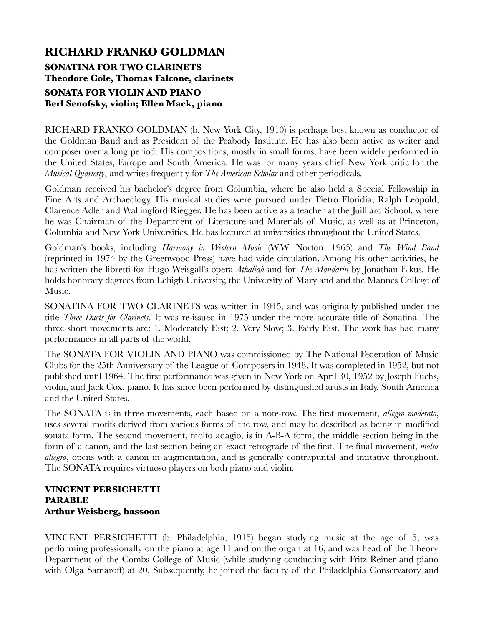## **RICHARD FRANKO GOLDMAN SONATINA FOR TWO CLARINETS Theodore Cole, Thomas Falcone, clarinets SONATA FOR VIOLIN AND PIANO Berl Senofsky, violin; Ellen Mack, piano**

RICHARD FRANKO GOLDMAN (b. New York City, 1910) is perhaps best known as conductor of the Goldman Band and as President of the Peabody Institute. He has also been active as writer and composer over a long period. His compositions, mostly in small forms, have been widely performed in the United States, Europe and South America. He was for many years chief New York critic for the *Musical Quarterly*, and writes frequently for *The American Scholar* and other periodicals.

Goldman received his bachelor's degree from Columbia, where he also held a Special Fellowship in Fine Arts and Archaeology. His musical studies were pursued under Pietro Floridia, Ralph Leopold, Clarence Adler and Wallingford Riegger. He has been active as a teacher at the Juilliard School, where he was Chairman of the Department of Literature and Materials of Music, as well as at Princeton, Columbia and New York Universities. He has lectured at universities throughout the United States.

Goldman's books, including *Harmony in Western Music* (W.W. Norton, 1965) and *The Wind Band* (reprinted in 1974 by the Greenwood Press) have had wide circulation. Among his other activities, he has written the libretti for Hugo Weisgall's opera *Athaliah* and for *The Mandarin* by Jonathan Elkus. He holds honorary degrees from Lehigh University, the University of Maryland and the Mannes College of Music.

SONATINA FOR TWO CLARINETS was written in 1945, and was originally published under the title *Three Duets for Clarinets*. It was re-issued in 1975 under the more accurate title of Sonatina. The three short movements are: 1. Moderately Fast; 2. Very Slow; 3. Fairly Fast. The work has had many performances in all parts of the world.

The SONATA FOR VIOLIN AND PIANO was commissioned by The National Federation of Music Clubs for the 25th Anniversary of the League of Composers in 1948. It was completed in 1952, but not published until 1964. The first performance was given in New York on April 30, 1952 by Joseph Fuchs, violin, and Jack Cox, piano. It has since been performed by distinguished artists in Italy, South America and the United States.

The SONATA is in three movements, each based on a note-row. The first movement, *allegro moderato*, uses several motifs derived from various forms of the row, and may be described as being in modified sonata form. The second movement, molto adagio, is in A-B-A form, the middle section being in the form of a canon, and the last section being an exact retrograde of the first. The final movement, *molto allegro*, opens with a canon in augmentation, and is generally contrapuntal and imitative throughout. The SONATA requires virtuoso players on both piano and violin.

## **VINCENT PERSICHETTI PARABLE Arthur Weisberg, bassoon**

VINCENT PERSICHETTI (b. Philadelphia, 1915) began studying music at the age of 5, was performing professionally on the piano at age 11 and on the organ at 16, and was head of the Theory Department of the Combs College of Music (while studying conducting with Fritz Reiner and piano with Olga Samaroff) at 20. Subsequently, he joined the faculty of the Philadelphia Conservatory and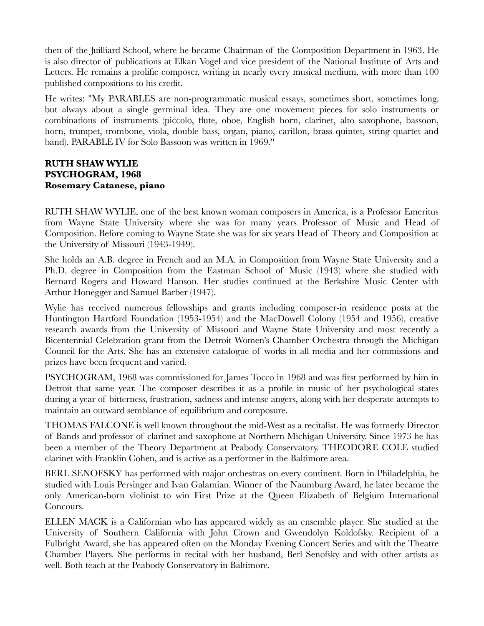then of the Juilliard School, where he became Chairman of the Composition Department in 1963. He is also director of publications at Elkan Vogel and vice president of the National Institute of Arts and Letters. He remains a prolific composer, writing in nearly every musical medium, with more than 100 published compositions to his credit.

He writes: "My PARABLES are non-programmatic musical essays, sometimes short, sometimes long, but always about a single germinal idea. They are one movement pieces for solo instruments or combinations of instruments (piccolo, flute, oboe, English horn, clarinet, alto saxophone, bassoon, horn, trumpet, trombone, viola, double bass, organ, piano, carillon, brass quintet, string quartet and band). PARABLE IV for Solo Bassoon was written in 1969."

## **RUTH SHAW WYLIE PSYCHOGRAM, 1968 Rosemary Catanese, piano**

RUTH SHAW WYLIE, one of the best known woman composers in America, is a Professor Emeritus from Wayne State University where she was for many years Professor of Music and Head of Composition. Before coming to Wayne State she was for six years Head of Theory and Composition at the University of Missouri (1943-1949).

She holds an A.B. degree in French and an M.A. in Composition from Wayne State University and a Ph.D. degree in Composition from the Eastman School of Music (1943) where she studied with Bernard Rogers and Howard Hanson. Her studies continued at the Berkshire Music Center with Arthur Honegger and Samuel Barber (1947).

Wylie has received numerous fellowships and grants including composer-in residence posts at the Huntington Hartford Foundation (1953-1954) and the MacDowell Colony (1954 and 1956), creative research awards from the University of Missouri and Wayne State University and most recently a Bicentennial Celebration grant from the Detroit Women's Chamber Orchestra through the Michigan Council for the Arts. She has an extensive catalogue of works in all media and her commissions and prizes have been frequent and varied.

PSYCHOGRAM, 1968 was commissioned for James Tocco in 1968 and was first performed by him in Detroit that same year. The composer describes it as a profile in music of her psychological states during a year of bitterness, frustration, sadness and intense angers, along with her desperate attempts to maintain an outward semblance of equilibrium and composure.

THOMAS FALCONE is well known throughout the mid-West as a recitalist. He was formerly Director of Bands and professor of clarinet and saxophone at Northern Michigan University. Since 1973 he has been a member of the Theory Department at Peabody Conservatory. THEODORE COLE studied clarinet with Franklin Cohen, and is active as a performer in the Baltimore area.

BERL SENOFSKY has performed with major orchestras on every continent. Born in Philadelphia, he studied with Louis Persinger and Ivan Galamian. Winner of the Naumburg Award, he later became the only American-born violinist to win First Prize at the Queen Elizabeth of Belgium International Concours.

ELLEN MACK is a Californian who has appeared widely as an ensemble player. She studied at the University of Southern California with John Crown and Gwendolyn Koldofsky. Recipient of a Fulbright Award, she has appeared often on the Monday Evening Concert Series and with the Theatre Chamber Players. She performs in recital with her husband, Berl Senofsky and with other artists as well. Both teach at the Peabody Conservatory in Baltimore.